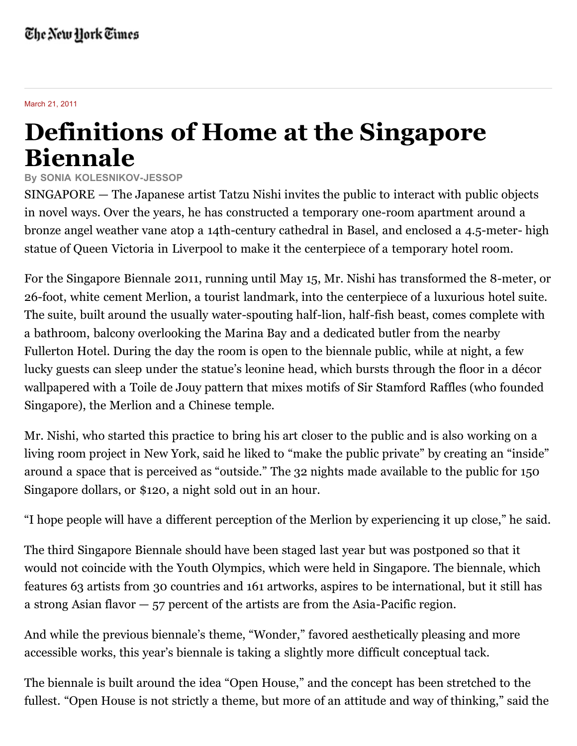## March 21, 2011

## **Definitions of Home at the Singapore Biennale**

**By SONIA KOLESNIKOV-JESSOP**

SINGAPORE — The Japanese artist Tatzu Nishi invites the public to interact with public objects in novel ways. Over the years, he has constructed a temporary one-room apartment around a bronze angel weather vane atop a 14th-century cathedral in Basel, and enclosed a 4.5-meter- high statue of Queen Victoria in Liverpool to make it the centerpiece of a temporary hotel room.

For the Singapore Biennale 2011, running until May 15, Mr. Nishi has transformed the 8-meter, or 26-foot, white cement Merlion, a tourist landmark, into the centerpiece of a luxurious hotel suite. The suite, built around the usually water-spouting half-lion, half-fish beast, comes complete with a bathroom, balcony overlooking the Marina Bay and a dedicated butler from the nearby Fullerton Hotel. During the day the room is open to the biennale public, while at night, a few lucky guests can sleep under the statue's leonine head, which bursts through the floor in a décor wallpapered with a Toile de Jouy pattern that mixes motifs of Sir Stamford Raffles (who founded Singapore), the Merlion and a Chinese temple.

Mr. Nishi, who started this practice to bring his art closer to the public and is also working on a living room project in New York, said he liked to "make the public private" by creating an "inside" around a space that is perceived as "outside." The 32 nights made available to the public for 150 Singapore dollars, or \$120, a night sold out in an hour.

"I hope people will have a different perception of the Merlion by experiencing it up close," he said.

The third Singapore Biennale should have been staged last year but was postponed so that it would not coincide with the Youth Olympics, which were held in Singapore. The biennale, which features 63 artists from 30 countries and 161 artworks, aspires to be international, but it still has a strong Asian flavor — 57 percent of the artists are from the Asia-Pacific region.

And while the previous biennale's theme, "Wonder," favored aesthetically pleasing and more accessible works, this year's biennale is taking a slightly more difficult conceptual tack.

The biennale is built around the idea "Open House," and the concept has been stretched to the fullest. "Open House is not strictly a theme, but more of an attitude and way of thinking," said the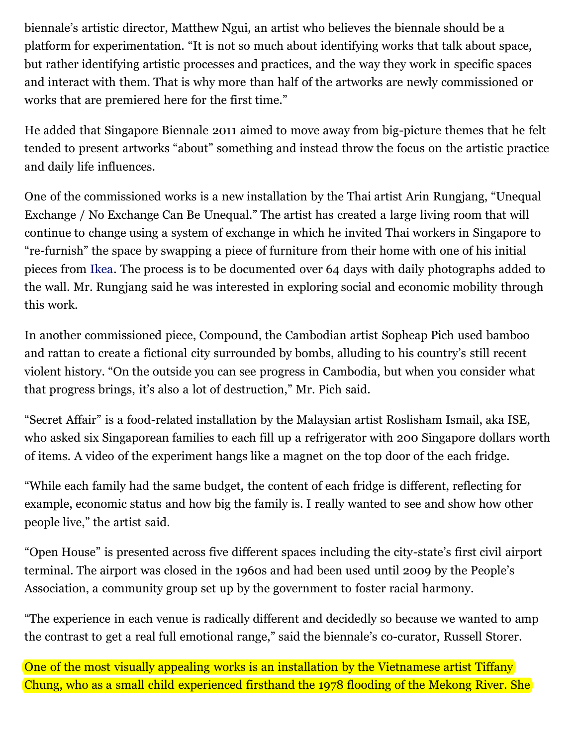biennale's artistic director, Matthew Ngui, an artist who believes the biennale should be a platform for experimentation. "It is not so much about identifying works that talk about space, but rather identifying artistic processes and practices, and the way they work in specific spaces and interact with them. That is why more than half of the artworks are newly commissioned or works that are premiered here for the first time."

He added that Singapore Biennale 2011 aimed to move away from big-picture themes that he felt tended to present artworks "about" something and instead throw the focus on the artistic practice and daily life influences.

One of the commissioned works is a new installation by the Thai artist Arin Rungjang, "Unequal Exchange / No Exchange Can Be Unequal." The artist has created a large living room that will continue to change using a system of exchange in which he invited Thai workers in Singapore to "re-furnish" the space by swapping a piece of furniture from their home with one of his initial pieces from [Ikea](http://topics.nytimes.com/top/news/business/companies/ikea/index.html?inline=nyt-org). The process is to be documented over 64 days with daily photographs added to the wall. Mr. Rungjang said he was interested in exploring social and economic mobility through this work.

In another commissioned piece, Compound, the Cambodian artist Sopheap Pich used bamboo and rattan to create a fictional city surrounded by bombs, alluding to his country's still recent violent history. "On the outside you can see progress in Cambodia, but when you consider what that progress brings, it's also a lot of destruction," Mr. Pich said.

"Secret Affair" is a food-related installation by the Malaysian artist Roslisham Ismail, aka ISE, who asked six Singaporean families to each fill up a refrigerator with 200 Singapore dollars worth of items. A video of the experiment hangs like a magnet on the top door of the each fridge.

"While each family had the same budget, the content of each fridge is different, reflecting for example, economic status and how big the family is. I really wanted to see and show how other people live," the artist said.

"Open House" is presented across five different spaces including the city-state's first civil airport terminal. The airport was closed in the 1960s and had been used until 2009 by the People's Association, a community group set up by the government to foster racial harmony.

"The experience in each venue is radically different and decidedly so because we wanted to amp the contrast to get a real full emotional range," said the biennale's co-curator, Russell Storer.

One of the most visually appealing works is an installation by the Vietnamese artist Tiffany Chung, who as a small child experienced firsthand the 1978 flooding of the Mekong River. She